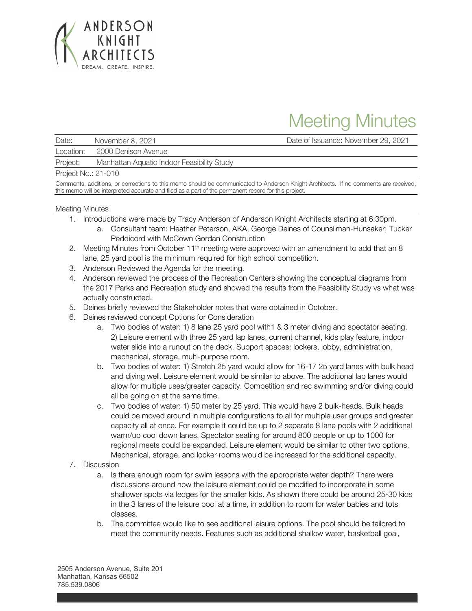

## Meeting Minutes

Date: November 8, 2021 Date of Issuance: November 29, 2021

Location: 2000 Denison Avenue

Project: Manhattan Aquatic Indoor Feasibility Study

Project No.: 21-010

Comments, additions, or corrections to this memo should be communicated to Anderson Knight Architects. If no comments are received, this memo will be interpreted accurate and filed as a part of the permanent record for this project.

## Meeting Minutes

- 1. Introductions were made by Tracy Anderson of Anderson Knight Architects starting at 6:30pm.
	- a. Consultant team: Heather Peterson, AKA, George Deines of Counsilman-Hunsaker; Tucker Peddicord with McCown Gordan Construction
- 2. Meeting Minutes from October  $11<sup>th</sup>$  meeting were approved with an amendment to add that an 8 lane, 25 yard pool is the minimum required for high school competition.
- 3. Anderson Reviewed the Agenda for the meeting.
- 4. Anderson reviewed the process of the Recreation Centers showing the conceptual diagrams from the 2017 Parks and Recreation study and showed the results from the Feasibility Study vs what was actually constructed.
- 5. Deines briefly reviewed the Stakeholder notes that were obtained in October.
- 6. Deines reviewed concept Options for Consideration
	- a. Two bodies of water: 1) 8 lane 25 yard pool with1 & 3 meter diving and spectator seating. 2) Leisure element with three 25 yard lap lanes, current channel, kids play feature, indoor water slide into a runout on the deck. Support spaces: lockers, lobby, administration, mechanical, storage, multi-purpose room.
	- b. Two bodies of water: 1) Stretch 25 yard would allow for 16-17 25 yard lanes with bulk head and diving well. Leisure element would be similar to above. The additional lap lanes would allow for multiple uses/greater capacity. Competition and rec swimming and/or diving could all be going on at the same time.
	- c. Two bodies of water: 1) 50 meter by 25 yard. This would have 2 bulk-heads. Bulk heads could be moved around in multiple configurations to all for multiple user groups and greater capacity all at once. For example it could be up to 2 separate 8 lane pools with 2 additional warm/up cool down lanes. Spectator seating for around 800 people or up to 1000 for regional meets could be expanded. Leisure element would be similar to other two options. Mechanical, storage, and locker rooms would be increased for the additional capacity.
- 7. Discussion
	- a. Is there enough room for swim lessons with the appropriate water depth? There were discussions around how the leisure element could be modified to incorporate in some shallower spots via ledges for the smaller kids. As shown there could be around 25-30 kids in the 3 lanes of the leisure pool at a time, in addition to room for water babies and tots classes.
	- b. The committee would like to see additional leisure options. The pool should be tailored to meet the community needs. Features such as additional shallow water, basketball goal,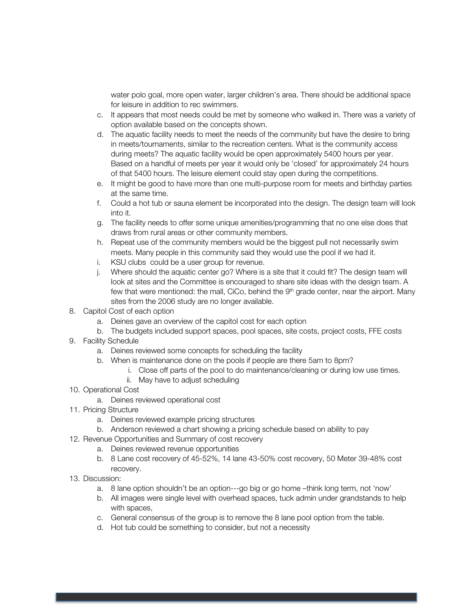water polo goal, more open water, larger children's area. There should be additional space for leisure in addition to rec swimmers.

- c. It appears that most needs could be met by someone who walked in. There was a variety of option available based on the concepts shown.
- d. The aquatic facility needs to meet the needs of the community but have the desire to bring in meets/tournaments, similar to the recreation centers. What is the community access during meets? The aquatic facility would be open approximately 5400 hours per year. Based on a handful of meets per year it would only be 'closed' for approximately 24 hours of that 5400 hours. The leisure element could stay open during the competitions.
- e. It might be good to have more than one multi-purpose room for meets and birthday parties at the same time.
- f. Could a hot tub or sauna element be incorporated into the design. The design team will look into it.
- g. The facility needs to offer some unique amenities/programming that no one else does that draws from rural areas or other community members.
- h. Repeat use of the community members would be the biggest pull not necessarily swim meets. Many people in this community said they would use the pool if we had it.
- i. KSU clubs could be a user group for revenue.
- j. Where should the aquatic center go? Where is a site that it could fit? The design team will look at sites and the Committee is encouraged to share site ideas with the design team. A few that were mentioned: the mall, CiCo, behind the  $9<sup>th</sup>$  grade center, near the airport. Many sites from the 2006 study are no longer available.
- 8. Capitol Cost of each option
	- a. Deines gave an overview of the capitol cost for each option
	- b. The budgets included support spaces, pool spaces, site costs, project costs, FFE costs
- 9. Facility Schedule
	- a. Deines reviewed some concepts for scheduling the facility
	- b. When is maintenance done on the pools if people are there 5am to 8pm?
		- i. Close off parts of the pool to do maintenance/cleaning or during low use times.
		- ii. May have to adjust scheduling
- 10. Operational Cost
	- a. Deines reviewed operational cost
- 11. Pricing Structure
	- a. Deines reviewed example pricing structures
	- b. Anderson reviewed a chart showing a pricing schedule based on ability to pay
- 12. Revenue Opportunities and Summary of cost recovery
	- a. Deines reviewed revenue opportunities
	- b. 8 Lane cost recovery of 45-52%, 14 lane 43-50% cost recovery, 50 Meter 39-48% cost recovery.
- 13. Discussion:
	- a. 8 lane option shouldn't be an option---go big or go home –think long term, not 'now'
	- b. All images were single level with overhead spaces, tuck admin under grandstands to help with spaces,
	- c. General consensus of the group is to remove the 8 lane pool option from the table.
	- d. Hot tub could be something to consider, but not a necessity